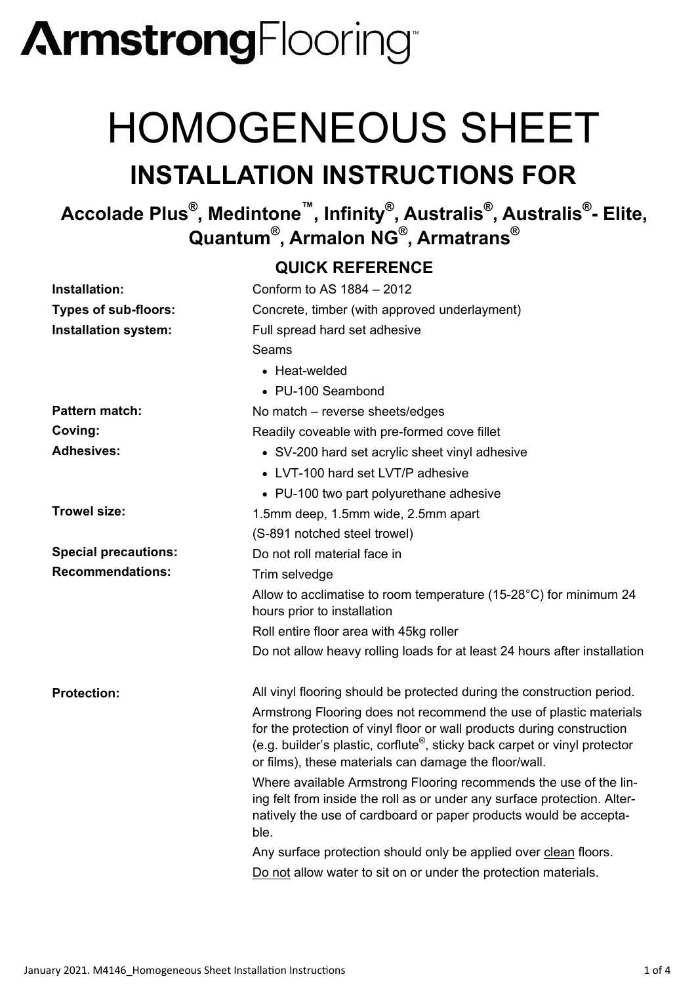## **ArmstrongFlooring**

## HOMOGENEOUS SHEET **INSTALLATION INSTRUCTIONS FOR**

**Accolade Plus®, Medintone™, Infinity®, Australis®, Australis®- Elite, Quantum®, Armalon NG®, Armatrans®**

#### **QUICK REFERENCE**

| Installation:               | Conform to AS 1884 - 2012                                                                                                                                                                                                                                                                       |
|-----------------------------|-------------------------------------------------------------------------------------------------------------------------------------------------------------------------------------------------------------------------------------------------------------------------------------------------|
| <b>Types of sub-floors:</b> | Concrete, timber (with approved underlayment)                                                                                                                                                                                                                                                   |
| Installation system:        | Full spread hard set adhesive                                                                                                                                                                                                                                                                   |
|                             | Seams                                                                                                                                                                                                                                                                                           |
|                             | • Heat-welded                                                                                                                                                                                                                                                                                   |
|                             | • PU-100 Seambond                                                                                                                                                                                                                                                                               |
| <b>Pattern match:</b>       | No match - reverse sheets/edges                                                                                                                                                                                                                                                                 |
| Coving:                     | Readily coveable with pre-formed cove fillet                                                                                                                                                                                                                                                    |
| <b>Adhesives:</b>           | • SV-200 hard set acrylic sheet vinyl adhesive                                                                                                                                                                                                                                                  |
|                             | • LVT-100 hard set LVT/P adhesive                                                                                                                                                                                                                                                               |
|                             | • PU-100 two part polyurethane adhesive                                                                                                                                                                                                                                                         |
| <b>Trowel size:</b>         | 1.5mm deep, 1.5mm wide, 2.5mm apart                                                                                                                                                                                                                                                             |
|                             | (S-891 notched steel trowel)                                                                                                                                                                                                                                                                    |
| <b>Special precautions:</b> | Do not roll material face in                                                                                                                                                                                                                                                                    |
| <b>Recommendations:</b>     | Trim selvedge                                                                                                                                                                                                                                                                                   |
|                             | Allow to acclimatise to room temperature (15-28 $^{\circ}$ C) for minimum 24<br>hours prior to installation                                                                                                                                                                                     |
|                             | Roll entire floor area with 45kg roller                                                                                                                                                                                                                                                         |
|                             | Do not allow heavy rolling loads for at least 24 hours after installation                                                                                                                                                                                                                       |
| <b>Protection:</b>          | All vinyl flooring should be protected during the construction period.                                                                                                                                                                                                                          |
|                             | Armstrong Flooring does not recommend the use of plastic materials<br>for the protection of vinyl floor or wall products during construction<br>(e.g. builder's plastic, corflute <sup>®</sup> , sticky back carpet or vinyl protector<br>or films), these materials can damage the floor/wall. |
|                             | Where available Armstrong Flooring recommends the use of the lin-<br>ing felt from inside the roll as or under any surface protection. Alter-<br>natively the use of cardboard or paper products would be accepta-<br>ble.                                                                      |
|                             | Any surface protection should only be applied over clean floors.                                                                                                                                                                                                                                |
|                             | Do not allow water to sit on or under the protection materials.                                                                                                                                                                                                                                 |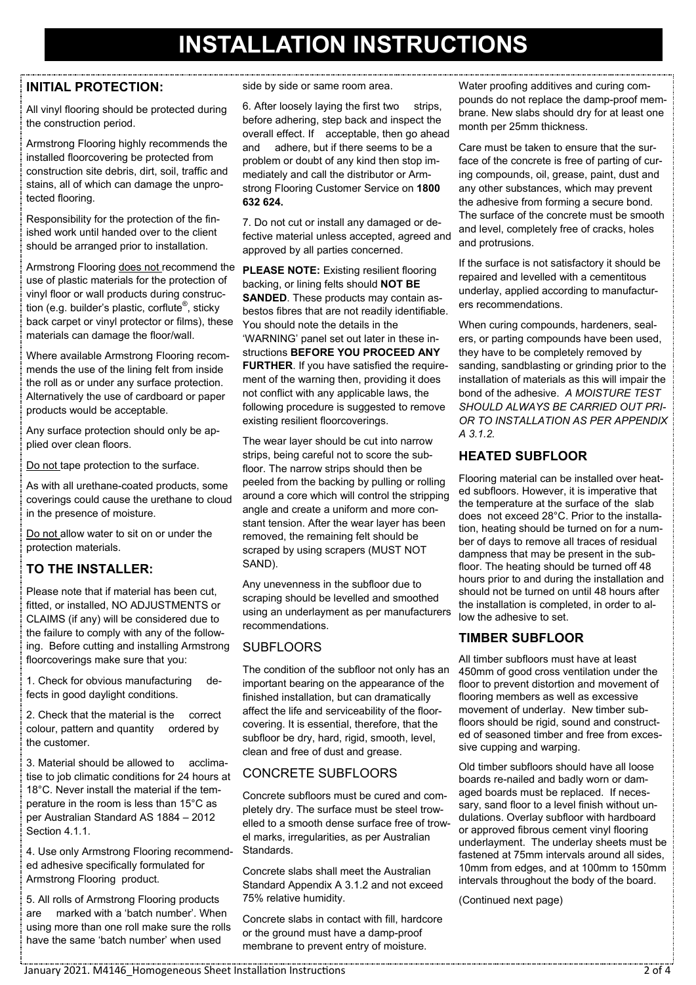### **INSTALLATION INSTRUCTIONS**

#### **INITIAL PROTECTION:**

All vinyl flooring should be protected during the construction period.

Armstrong Flooring highly recommends the installed floorcovering be protected from construction site debris, dirt, soil, traffic and stains, all of which can damage the unprotected flooring.

Responsibility for the protection of the finished work until handed over to the client should be arranged prior to installation.

Armstrong Flooring does not recommend the use of plastic materials for the protection of vinyl floor or wall products during construction (e.g. builder's plastic, corflute<sup>®</sup>, sticky back carpet or vinyl protector or films), these materials can damage the floor/wall.

Where available Armstrong Flooring recommends the use of the lining felt from inside the roll as or under any surface protection. Alternatively the use of cardboard or paper products would be acceptable.

Any surface protection should only be applied over clean floors.

Do not tape protection to the surface.

As with all urethane-coated products, some coverings could cause the urethane to cloud in the presence of moisture.

Do not allow water to sit on or under the protection materials.

#### **TO THE INSTALLER:**

Please note that if material has been cut, fitted, or installed, NO ADJUSTMENTS or CLAIMS (if any) will be considered due to the failure to comply with any of the following. Before cutting and installing Armstrong floorcoverings make sure that you:

1. Check for obvious manufacturing defects in good daylight conditions.

2. Check that the material is the correct colour, pattern and quantity ordered by the customer.

3. Material should be allowed to acclimatise to job climatic conditions for 24 hours at 18°C. Never install the material if the temperature in the room is less than 15°C as per Australian Standard AS 1884 – 2012 Section 4.1.1.

4. Use only Armstrong Flooring recommended adhesive specifically formulated for Armstrong Flooring product.

5. All rolls of Armstrong Flooring products are marked with a 'batch number'. When using more than one roll make sure the rolls have the same 'batch number' when used

side by side or same room area.

6. After loosely laying the first two strips, before adhering, step back and inspect the overall effect. If acceptable, then go ahead and adhere, but if there seems to be a problem or doubt of any kind then stop immediately and call the distributor or Armstrong Flooring Customer Service on **1800 632 624.**

7. Do not cut or install any damaged or defective material unless accepted, agreed and approved by all parties concerned.

**PLEASE NOTE:** Existing resilient flooring backing, or lining felts should **NOT BE SANDED**. These products may contain asbestos fibres that are not readily identifiable. You should note the details in the 'WARNING' panel set out later in these instructions **BEFORE YOU PROCEED ANY FURTHER**. If you have satisfied the requirement of the warning then, providing it does not conflict with any applicable laws, the following procedure is suggested to remove existing resilient floorcoverings.

The wear layer should be cut into narrow strips, being careful not to score the subfloor. The narrow strips should then be peeled from the backing by pulling or rolling around a core which will control the stripping angle and create a uniform and more constant tension. After the wear layer has been removed, the remaining felt should be scraped by using scrapers (MUST NOT SAND).

Any unevenness in the subfloor due to scraping should be levelled and smoothed using an underlayment as per manufacturers recommendations.

#### **SUBFLOORS**

The condition of the subfloor not only has an important bearing on the appearance of the finished installation, but can dramatically affect the life and serviceability of the floorcovering. It is essential, therefore, that the subfloor be dry, hard, rigid, smooth, level, clean and free of dust and grease.

#### CONCRETE SUBFLOORS

Concrete subfloors must be cured and completely dry. The surface must be steel trowelled to a smooth dense surface free of trowel marks, irregularities, as per Australian Standards.

Concrete slabs shall meet the Australian Standard Appendix A 3.1.2 and not exceed 75% relative humidity.

Concrete slabs in contact with fill, hardcore or the ground must have a damp-proof membrane to prevent entry of moisture.

Water proofing additives and curing compounds do not replace the damp-proof membrane. New slabs should dry for at least one month per 25mm thickness.

Care must be taken to ensure that the surface of the concrete is free of parting of curing compounds, oil, grease, paint, dust and any other substances, which may prevent the adhesive from forming a secure bond. The surface of the concrete must be smooth and level, completely free of cracks, holes and protrusions.

If the surface is not satisfactory it should be repaired and levelled with a cementitous underlay, applied according to manufacturers recommendations.

When curing compounds, hardeners, sealers, or parting compounds have been used, they have to be completely removed by sanding, sandblasting or grinding prior to the installation of materials as this will impair the bond of the adhesive. *A MOISTURE TEST SHOULD ALWAYS BE CARRIED OUT PRI-OR TO INSTALLATION AS PER APPENDIX A 3.1.2.*

#### **HEATED SUBFLOOR**

Flooring material can be installed over heated subfloors. However, it is imperative that the temperature at the surface of the slab does not exceed 28°C. Prior to the installation, heating should be turned on for a number of days to remove all traces of residual dampness that may be present in the subfloor. The heating should be turned off 48 hours prior to and during the installation and should not be turned on until 48 hours after the installation is completed, in order to allow the adhesive to set.

#### **TIMBER SUBFLOOR**

All timber subfloors must have at least 450mm of good cross ventilation under the floor to prevent distortion and movement of flooring members as well as excessive movement of underlay. New timber subfloors should be rigid, sound and constructed of seasoned timber and free from excessive cupping and warping.

Old timber subfloors should have all loose boards re-nailed and badly worn or damaged boards must be replaced. If necessary, sand floor to a level finish without undulations. Overlay subfloor with hardboard or approved fibrous cement vinyl flooring underlayment. The underlay sheets must be fastened at 75mm intervals around all sides, 10mm from edges, and at 100mm to 150mm intervals throughout the body of the board.

(Continued next page)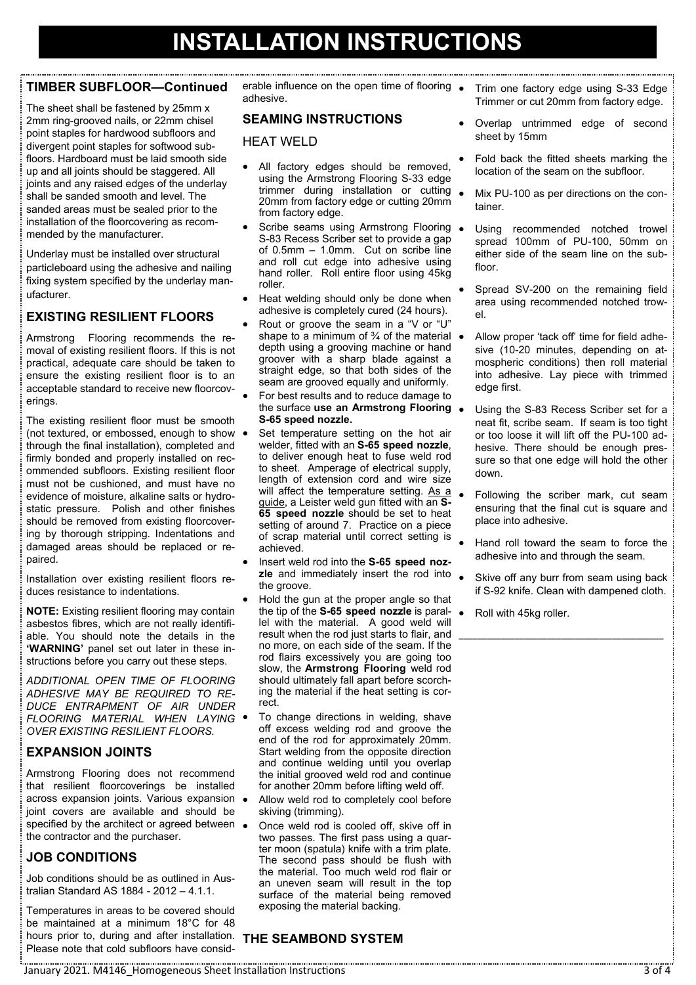### **INSTALLATION INSTRUCTIONS**

#### **TIMBER SUBFLOOR—Continued**

The sheet shall be fastened by 25mm x 2mm ring-grooved nails, or 22mm chisel point staples for hardwood subfloors and divergent point staples for softwood subfloors. Hardboard must be laid smooth side up and all joints should be staggered. All joints and any raised edges of the underlay shall be sanded smooth and level. The sanded areas must be sealed prior to the installation of the floorcovering as recommended by the manufacturer.

Underlay must be installed over structural particleboard using the adhesive and nailing fixing system specified by the underlay manufacturer.

#### **EXISTING RESILIENT FLOORS**

Armstrong Flooring recommends the removal of existing resilient floors. If this is not practical, adequate care should be taken to ensure the existing resilient floor is to an acceptable standard to receive new floorcoverings.

The existing resilient floor must be smooth (not textured, or embossed, enough to show through the final installation), completed and firmly bonded and properly installed on recommended subfloors. Existing resilient floor must not be cushioned, and must have no evidence of moisture, alkaline salts or hydrostatic pressure. Polish and other finishes should be removed from existing floorcovering by thorough stripping. Indentations and damaged areas should be replaced or repaired.

Installation over existing resilient floors reduces resistance to indentations.

**NOTE:** Existing resilient flooring may contain asbestos fibres, which are not really identifiable. You should note the details in the **'WARNING'** panel set out later in these instructions before you carry out these steps.

*ADDITIONAL OPEN TIME OF FLOORING ADHESIVE MAY BE REQUIRED TO RE-DUCE ENTRAPMENT OF AIR UNDER FLOORING MATERIAL WHEN LAYING OVER EXISTING RESILIENT FLOORS.* 

#### **EXPANSION JOINTS**

Armstrong Flooring does not recommend that resilient floorcoverings be installed across expansion joints. Various expansion joint covers are available and should be specified by the architect or agreed between  $\bullet$ the contractor and the purchaser.

#### **JOB CONDITIONS**

Job conditions should be as outlined in Australian Standard AS 1884 - 2012 – 4.1.1.

Temperatures in areas to be covered should be maintained at a minimum 18°C for 48 hours prior to, during and after installation. **THE SEAMBOND SYSTEM**  Please note that cold subfloors have consid-

erable influence on the open time of flooring  $\bullet$ adhesive.

#### **SEAMING INSTRUCTIONS**

#### HEAT WELD

- All factory edges should be removed, using the Armstrong Flooring S-33 edge trimmer during installation or cutting . 20mm from factory edge or cutting 20mm from factory edge.
- Scribe seams using Armstrong Flooring . S-83 Recess Scriber set to provide a gap of  $0.5$ mm  $-1.0$ mm. Cut on scribe line and roll cut edge into adhesive using hand roller. Roll entire floor using 45kg roller.
- Heat welding should only be done when adhesive is completely cured (24 hours).
- Rout or groove the seam in a "V or "U" shape to a minimum of  $\frac{3}{4}$  of the material  $\bullet$ depth using a grooving machine or hand groover with a sharp blade against a straight edge, so that both sides of the seam are grooved equally and uniformly.
- For best results and to reduce damage to the surface **use an Armstrong Flooring S-65 speed nozzle.**
- Set temperature setting on the hot air welder, fitted with an **S-65 speed nozzle**, to deliver enough heat to fuse weld rod to sheet. Amperage of electrical supply, length of extension cord and wire size will affect the temperature setting.  $\frac{\text{As a}}{\text{.}}$ guide, a Leister weld gun fitted with an **S-65 speed nozzle** should be set to heat setting of around 7. Practice on a piece of scrap material until correct setting is achieved.
- Insert weld rod into the **S-65 speed nozzle** and immediately insert the rod into the groove.
- Hold the gun at the proper angle so that the tip of the **S-65 speed nozzle** is parallel with the material. A good weld will result when the rod just starts to flair, and no more, on each side of the seam. If the rod flairs excessively you are going too slow, the **Armstrong Flooring** weld rod should ultimately fall apart before scorching the material if the heat setting is correct.
- To change directions in welding, shave off excess welding rod and groove the end of the rod for approximately 20mm. Start welding from the opposite direction and continue welding until you overlap the initial grooved weld rod and continue for another 20mm before lifting weld off.
- Allow weld rod to completely cool before skiving (trimming).
- Once weld rod is cooled off, skive off in two passes. The first pass using a quarter moon (spatula) knife with a trim plate. The second pass should be flush with the material. Too much weld rod flair or an uneven seam will result in the top surface of the material being removed exposing the material backing.
- Trim one factory edge using S-33 Edge Trimmer or cut 20mm from factory edge.
- Overlap untrimmed edge of second sheet by 15mm
- Fold back the fitted sheets marking the location of the seam on the subfloor.
- Mix PU-100 as per directions on the container.
- Using recommended notched trowel spread 100mm of PU-100, 50mm on either side of the seam line on the subfloor
- Spread SV-200 on the remaining field area using recommended notched trowel.
- Allow proper 'tack off' time for field adhesive (10-20 minutes, depending on atmospheric conditions) then roll material into adhesive. Lay piece with trimmed edge first.
- Using the S-83 Recess Scriber set for a neat fit, scribe seam. If seam is too tight or too loose it will lift off the PU-100 adhesive. There should be enough pressure so that one edge will hold the other down.
- Following the scriber mark, cut seam ensuring that the final cut is square and place into adhesive.
- Hand roll toward the seam to force the adhesive into and through the seam.
- Skive off any burr from seam using back if S-92 knife. Clean with dampened cloth.

\_\_\_\_\_\_\_\_\_\_\_\_\_\_\_\_\_\_\_\_\_\_\_\_\_\_\_\_\_\_\_\_\_\_\_\_\_\_\_\_\_\_\_\_

Roll with 45kg roller.